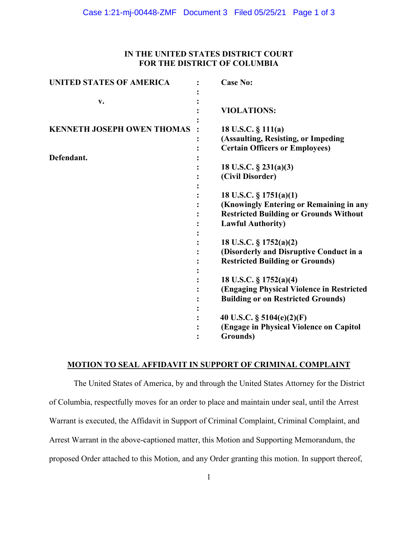### **IN THE UNITED STATES DISTRICT COURT FOR THE DISTRICT OF COLUMBIA**

| <b>UNITED STATES OF AMERICA</b>   | <b>Case No:</b>                                                                                                                                |
|-----------------------------------|------------------------------------------------------------------------------------------------------------------------------------------------|
| v.                                | <b>VIOLATIONS:</b>                                                                                                                             |
| <b>KENNETH JOSEPH OWEN THOMAS</b> | 18 U.S.C. $\S$ 111(a)<br>(Assaulting, Resisting, or Impeding<br><b>Certain Officers or Employees)</b>                                          |
| Defendant.                        | 18 U.S.C. $\S$ 231(a)(3)<br>(Civil Disorder)                                                                                                   |
|                                   | 18 U.S.C. § 1751(a)(1)<br>(Knowingly Entering or Remaining in any<br><b>Restricted Building or Grounds Without</b><br><b>Lawful Authority)</b> |
|                                   | 18 U.S.C. § 1752(a)(2)<br>(Disorderly and Disruptive Conduct in a<br><b>Restricted Building or Grounds)</b>                                    |
|                                   | 18 U.S.C. § 1752(a)(4)<br>(Engaging Physical Violence in Restricted<br><b>Building or on Restricted Grounds)</b>                               |
|                                   | 40 U.S.C. § 5104(e)(2)(F)<br>(Engage in Physical Violence on Capitol<br>Grounds)                                                               |

## **MOTION TO SEAL AFFIDAVIT IN SUPPORT OF CRIMINAL COMPLAINT**

The United States of America, by and through the United States Attorney for the District of Columbia, respectfully moves for an order to place and maintain under seal, until the Arrest Warrant is executed, the Affidavit in Support of Criminal Complaint, Criminal Complaint, and Arrest Warrant in the above-captioned matter, this Motion and Supporting Memorandum, the proposed Order attached to this Motion, and any Order granting this motion. In support thereof,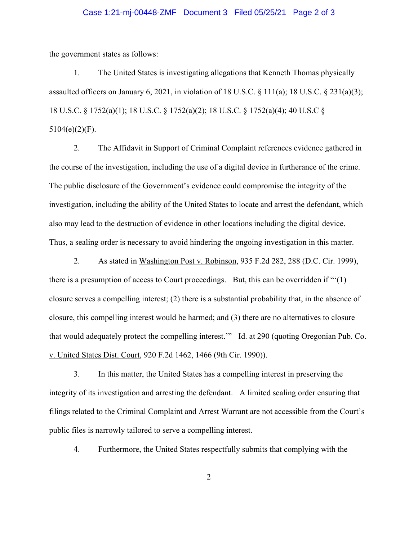#### Case 1:21-mj-00448-ZMF Document 3 Filed 05/25/21 Page 2 of 3

the government states as follows:

1. The United States is investigating allegations that Kenneth Thomas physically assaulted officers on January 6, 2021, in violation of 18 U.S.C.  $\S$  111(a); 18 U.S.C.  $\S$  231(a)(3); 18 U.S.C. § 1752(a)(1); 18 U.S.C. § 1752(a)(2); 18 U.S.C. § 1752(a)(4); 40 U.S.C §  $5104(e)(2)(F)$ .

2. The Affidavit in Support of Criminal Complaint references evidence gathered in the course of the investigation, including the use of a digital device in furtherance of the crime. The public disclosure of the Government's evidence could compromise the integrity of the investigation, including the ability of the United States to locate and arrest the defendant, which also may lead to the destruction of evidence in other locations including the digital device. Thus, a sealing order is necessary to avoid hindering the ongoing investigation in this matter.

2. As stated in Washington Post v. Robinson, 935 F.2d 282, 288 (D.C. Cir. 1999), there is a presumption of access to Court proceedings. But, this can be overridden if "'(1) closure serves a compelling interest; (2) there is a substantial probability that, in the absence of closure, this compelling interest would be harmed; and (3) there are no alternatives to closure that would adequately protect the compelling interest." Id. at 290 (quoting Oregonian Pub. Co. v. United States Dist. Court, 920 F.2d 1462, 1466 (9th Cir. 1990)).

3. In this matter, the United States has a compelling interest in preserving the integrity of its investigation and arresting the defendant. A limited sealing order ensuring that filings related to the Criminal Complaint and Arrest Warrant are not accessible from the Court's public files is narrowly tailored to serve a compelling interest.

4. Furthermore, the United States respectfully submits that complying with the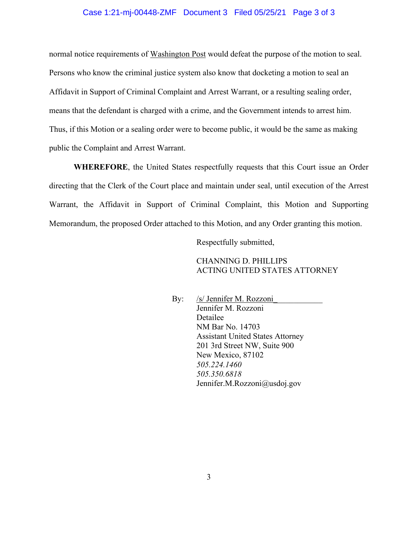#### Case 1:21-mj-00448-ZMF Document 3 Filed 05/25/21 Page 3 of 3

normal notice requirements of Washington Post would defeat the purpose of the motion to seal. Persons who know the criminal justice system also know that docketing a motion to seal an Affidavit in Support of Criminal Complaint and Arrest Warrant, or a resulting sealing order, means that the defendant is charged with a crime, and the Government intends to arrest him. Thus, if this Motion or a sealing order were to become public, it would be the same as making public the Complaint and Arrest Warrant.

**WHEREFORE**, the United States respectfully requests that this Court issue an Order directing that the Clerk of the Court place and maintain under seal, until execution of the Arrest Warrant, the Affidavit in Support of Criminal Complaint, this Motion and Supporting Memorandum, the proposed Order attached to this Motion, and any Order granting this motion.

Respectfully submitted,

#### CHANNING D. PHILLIPS ACTING UNITED STATES ATTORNEY

By: /s/ Jennifer M. Rozzoni Jennifer M. Rozzoni Detailee NM Bar No. 14703 Assistant United States Attorney 201 3rd Street NW, Suite 900 New Mexico, 87102 *505.224.1460 505.350.6818* Jennifer.M.Rozzoni@usdoj.gov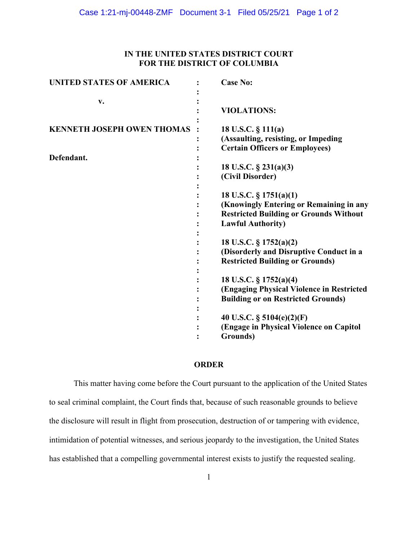### **IN THE UNITED STATES DISTRICT COURT FOR THE DISTRICT OF COLUMBIA**

| <b>UNITED STATES OF AMERICA</b>   | <b>Case No:</b>                                                                                                                                |
|-----------------------------------|------------------------------------------------------------------------------------------------------------------------------------------------|
| v.                                | <b>VIOLATIONS:</b>                                                                                                                             |
| <b>KENNETH JOSEPH OWEN THOMAS</b> | 18 U.S.C. § 111(a)<br>(Assaulting, resisting, or Impeding<br><b>Certain Officers or Employees)</b>                                             |
| Defendant.                        | 18 U.S.C. $\S$ 231(a)(3)<br>(Civil Disorder)                                                                                                   |
|                                   | 18 U.S.C. § 1751(a)(1)<br>(Knowingly Entering or Remaining in any<br><b>Restricted Building or Grounds Without</b><br><b>Lawful Authority)</b> |
|                                   | 18 U.S.C. § 1752(a)(2)<br>(Disorderly and Disruptive Conduct in a<br><b>Restricted Building or Grounds)</b>                                    |
|                                   | 18 U.S.C. § 1752(a)(4)<br>(Engaging Physical Violence in Restricted<br><b>Building or on Restricted Grounds)</b>                               |
|                                   | 40 U.S.C. $\S$ 5104(e)(2)(F)<br>(Engage in Physical Violence on Capitol<br>Grounds)                                                            |

## **ORDER**

This matter having come before the Court pursuant to the application of the United States to seal criminal complaint, the Court finds that, because of such reasonable grounds to believe the disclosure will result in flight from prosecution, destruction of or tampering with evidence, intimidation of potential witnesses, and serious jeopardy to the investigation, the United States has established that a compelling governmental interest exists to justify the requested sealing.